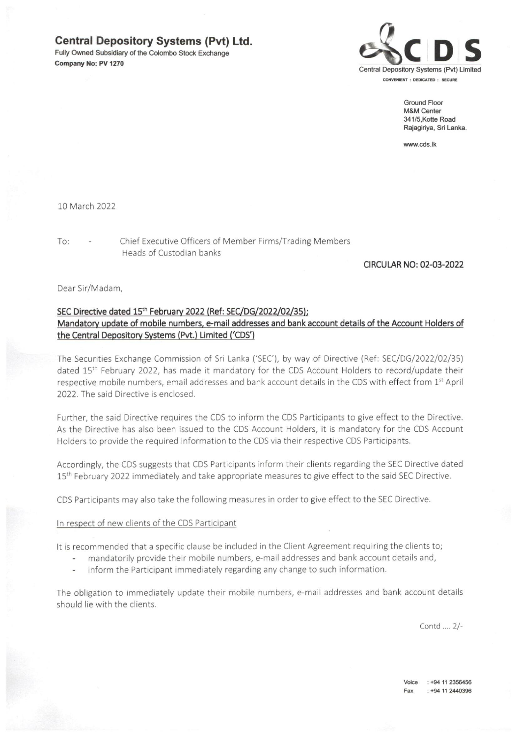# Central Depository Systems (Pvt) Ltd.

Fully Owned Subsidiary of the Colombo Stock Exchange Company No: PV 1270<br>Company No: PV 1270



Ground Floor M&M Center 341/5,Kotte Road Rajagiriya, Sri Lanka.

www.cds.lk

10 March 2022

To: - Chief Executive Officers of Member Firms/Trading Members Heads of Custodian banks

## CIRCULAR NO: 02-03-2022

Dear Sir/Madam,

## SEC Directive dated 15<sup>th</sup> February 2022 (Ref: SEC/DG/2022/02/35); Mandatory update of mobile numbers, e-mail addresses and bank account details of the Account Holders of the Central Depository Systems (Pvt.) Limited ('CDS')

The Securities Exchange Commission of Sri Lanka ('SEC), by way of Directive (Ref: SEC/DG/2022/02/35) dated 15<sup>th</sup> February 2022, has made it mandatory for the CDS Account Holders to record/update their respective mobile numbers, email addresses and bank account details in the CDS with effect from 1st April 2022. The said Directive is enclosed.

Further, the said Directive requires the CDS to inform the CDS Participants to give effect to the Directive. As the Directive has also been issued to the CDS Account Holders, It is mandatory for the CDS Account Holders to provide the required information to the CDS via their respective CDS Participants.

Accordingly, the CDS suggests that CDS Participants inform their clients regarding the SEC Directive dated 15<sup>th</sup> February 2022 immediately and take appropriate measures to give effect to the said SEC Directive.

CDS Participants may also take the following measures in order to give effect to the SEC Directive.

## In respect of new clients of the CDS Participant

It is recommended that a specific clause be included in the Client Agreement requiring the clients to;

- mandatorily provide their mobile numbers, e-mail addresses and bank account details and,
- inform the Participant immediately regarding any change to such information.

The obligation to immediately update their mobile numbers, e-mail addresses and bank account details should lie with the clients.

Contd .... 2/-

Voice : +94 11 2356456 Fax ;+94 11 2440396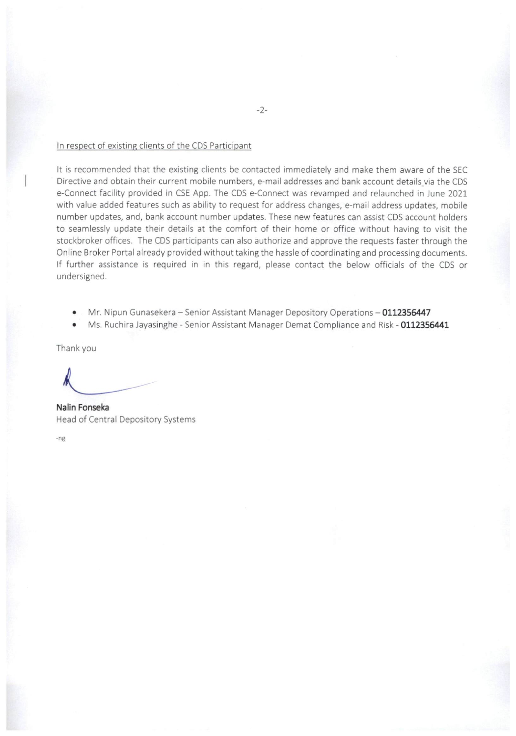#### In respect of existing clients of the CDS Participant

It is recommended that the existing clients be contacted immediately and make them aware of the SEC Directive and obtain their current mobile numbers, e-mail addresses and bank account details via the CDS e-Connect facility provided in CSE App. The CDS e-Connect was revamped and relaunched in June 2021 with value added features such as ability to request for address changes, e-mail address updates, mobile number updates, and, bank account number updates. These new features can assist CDS account holders to seamlessly update their details at the comfort of their home or office without having to visit the stockbroker offices. The CDS participants can also authorize and approve the requests faster through the Online Broker Portal already provided without taking the hassle of coordinating and processing documents. If further assistance is required in in this regard, please contact the below officials of the CDS or undersigned.

- Mr. Nipun Gunasekera Senior Assistant Manager Depository Operations 0112356447  $\bullet$
- Ms. Ruchira Jayasinghe Senior Assistant Manager Demat Compliance and Risk 0112356441  $\bullet$

Thank you

Nalln Fonseka Head of Central Depository Systems

-ng